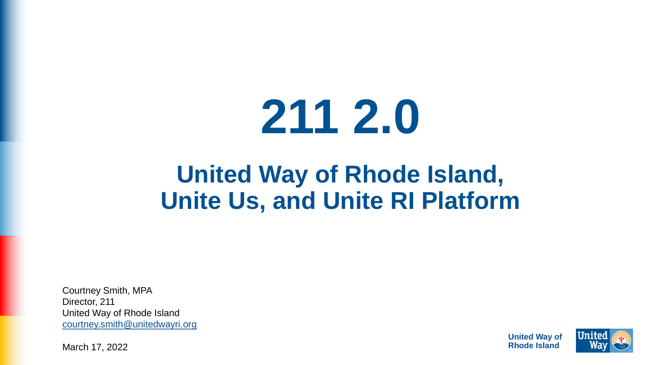### **211 2.0**

### **United Way of Rhode Island, Unite Us, and Unite RI Platform**

Courtney Smith, MPA Director, 211 United Way of Rhode Island [courtney.smith@unitedwayri.org](mailto:courtney.smith@unitedwayri.org)

March 17, 2022

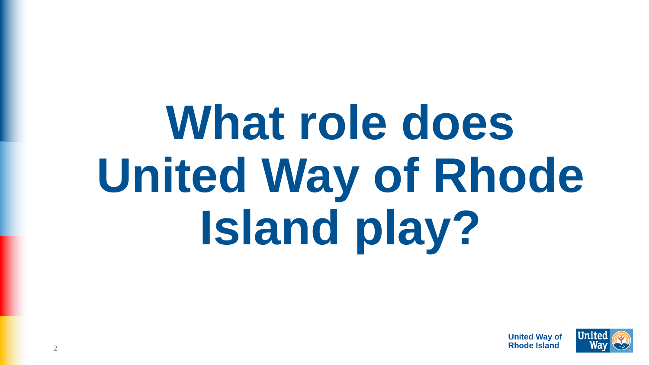# **What role does United Way of Rhode Island play?**

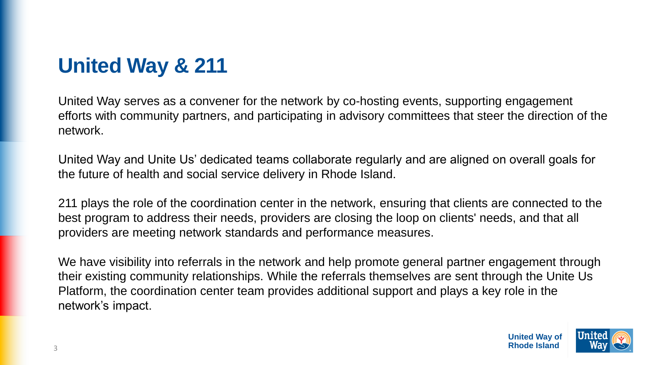### **United Way & 211**

United Way serves as a convener for the network by co-hosting events, supporting engagement efforts with community partners, and participating in advisory committees that steer the direction of the network.

United Way and Unite Us' dedicated teams collaborate regularly and are aligned on overall goals for the future of health and social service delivery in Rhode Island.

211 plays the role of the coordination center in the network, ensuring that clients are connected to the best program to address their needs, providers are closing the loop on clients' needs, and that all providers are meeting network standards and performance measures.

We have visibility into referrals in the network and help promote general partner engagement through their existing community relationships. While the referrals themselves are sent through the Unite Us Platform, the coordination center team provides additional support and plays a key role in the network's impact.

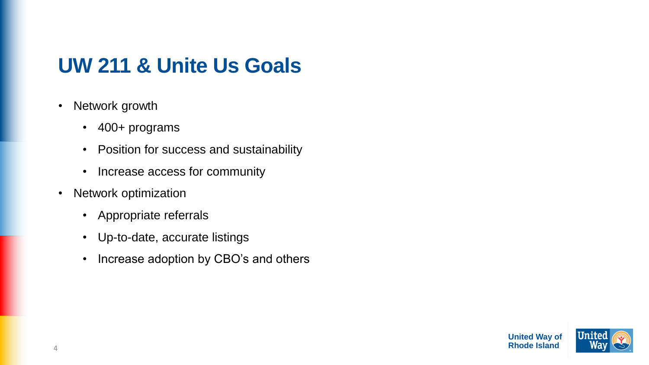### **UW 211 & Unite Us Goals**

- Network growth
	- 400+ programs
	- Position for success and sustainability
	- Increase access for community
- Network optimization
	- Appropriate referrals
	- Up-to-date, accurate listings
	- Increase adoption by CBO's and others

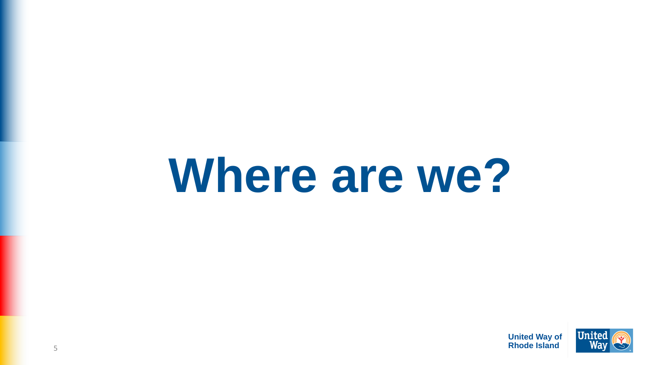## **Where are we?**

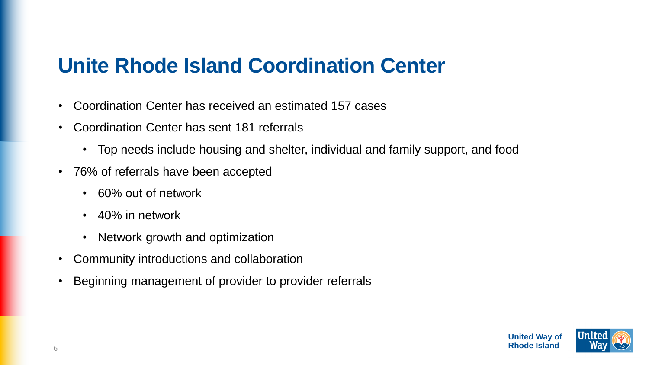### **Unite Rhode Island Coordination Center**

- Coordination Center has received an estimated 157 cases
- Coordination Center has sent 181 referrals
	- Top needs include housing and shelter, individual and family support, and food
- 76% of referrals have been accepted
	- 60% out of network
	- 40% in network
	- Network growth and optimization
- Community introductions and collaboration
- Beginning management of provider to provider referrals

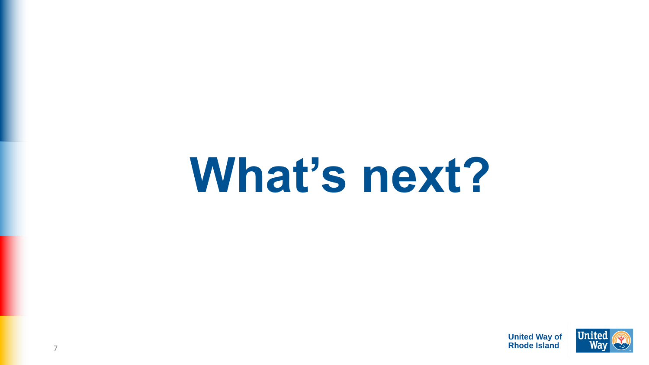### **What's next?**



**United Way of Rhode Island**

7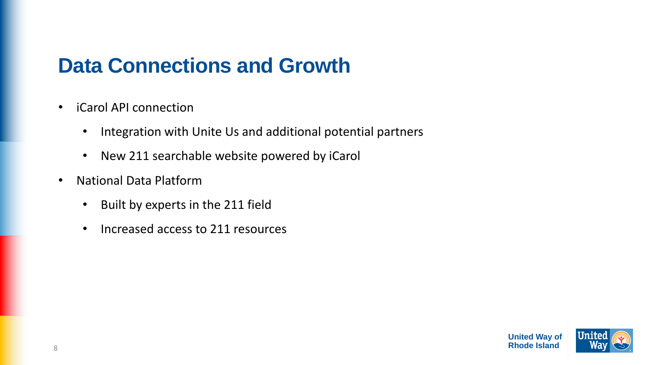#### **Data Connections and Growth**

- iCarol API connection
	- Integration with Unite Us and additional potential partners
	- New 211 searchable website powered by iCarol
- National Data Platform
	- Built by experts in the 211 field
	- Increased access to 211 resources